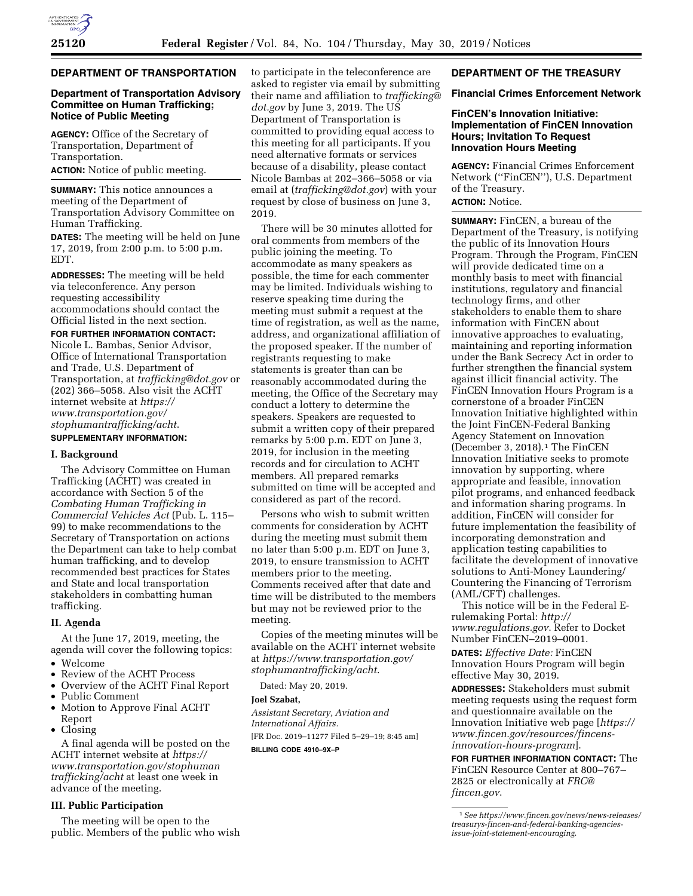## **DEPARTMENT OF TRANSPORTATION**

## **Department of Transportation Advisory Committee on Human Trafficking; Notice of Public Meeting**

**AGENCY:** Office of the Secretary of Transportation, Department of Transportation.

**ACTION:** Notice of public meeting.

**SUMMARY:** This notice announces a meeting of the Department of Transportation Advisory Committee on Human Trafficking.

**DATES:** The meeting will be held on June 17, 2019, from 2:00 p.m. to 5:00 p.m. EDT.

**ADDRESSES:** The meeting will be held via teleconference. Any person requesting accessibility accommodations should contact the Official listed in the next section.

**FOR FURTHER INFORMATION CONTACT:**  Nicole L. Bambas, Senior Advisor, Office of International Transportation and Trade, U.S. Department of Transportation, at *[trafficking@dot.gov](mailto:trafficking@dot.gov)* or (202) 366–5058. Also visit the ACHT internet website at *[https://](https://www.transportation.gov/stophumantrafficking/acht) [www.transportation.gov/](https://www.transportation.gov/stophumantrafficking/acht)  [stophumantrafficking/acht](https://www.transportation.gov/stophumantrafficking/acht)*.

# **SUPPLEMENTARY INFORMATION:**

## **I. Background**

The Advisory Committee on Human Trafficking (ACHT) was created in accordance with Section 5 of the *Combating Human Trafficking in Commercial Vehicles Act* (Pub. L. 115– 99) to make recommendations to the Secretary of Transportation on actions the Department can take to help combat human trafficking, and to develop recommended best practices for States and State and local transportation stakeholders in combatting human trafficking.

#### **II. Agenda**

At the June 17, 2019, meeting, the agenda will cover the following topics:

- Welcome
- Review of the ACHT Process
- Overview of the ACHT Final Report
- Public Comment
- Motion to Approve Final ACHT Report
- Closing

A final agenda will be posted on the ACHT internet website at *[https://](https://www.transportation.gov/stophumantrafficking/acht) [www.transportation.gov/stophuman](https://www.transportation.gov/stophumantrafficking/acht) [trafficking/acht](https://www.transportation.gov/stophumantrafficking/acht)* at least one week in advance of the meeting.

#### **III. Public Participation**

The meeting will be open to the public. Members of the public who wish to participate in the teleconference are asked to register via email by submitting their name and affiliation to *[trafficking@](mailto:trafficking@dot.gov) [dot.gov](mailto:trafficking@dot.gov)* by June 3, 2019. The US Department of Transportation is committed to providing equal access to this meeting for all participants. If you need alternative formats or services because of a disability, please contact Nicole Bambas at 202–366–5058 or via email at (*[trafficking@dot.gov](mailto:trafficking@dot.gov)*) with your request by close of business on June 3, 2019.

There will be 30 minutes allotted for oral comments from members of the public joining the meeting. To accommodate as many speakers as possible, the time for each commenter may be limited. Individuals wishing to reserve speaking time during the meeting must submit a request at the time of registration, as well as the name, address, and organizational affiliation of the proposed speaker. If the number of registrants requesting to make statements is greater than can be reasonably accommodated during the meeting, the Office of the Secretary may conduct a lottery to determine the speakers. Speakers are requested to submit a written copy of their prepared remarks by 5:00 p.m. EDT on June 3, 2019, for inclusion in the meeting records and for circulation to ACHT members. All prepared remarks submitted on time will be accepted and considered as part of the record.

Persons who wish to submit written comments for consideration by ACHT during the meeting must submit them no later than 5:00 p.m. EDT on June 3, 2019, to ensure transmission to ACHT members prior to the meeting. Comments received after that date and time will be distributed to the members but may not be reviewed prior to the meeting.

Copies of the meeting minutes will be available on the ACHT internet website at *[https://www.transportation.gov/](https://www.transportation.gov/stophumantrafficking/acht)  [stophumantrafficking/acht](https://www.transportation.gov/stophumantrafficking/acht)*.

Dated: May 20, 2019.

#### **Joel Szabat,**

*Assistant Secretary, Aviation and International Affairs.*  [FR Doc. 2019–11277 Filed 5–29–19; 8:45 am]

**BILLING CODE 4910–9X–P** 

#### **DEPARTMENT OF THE TREASURY**

#### **Financial Crimes Enforcement Network**

# **FinCEN's Innovation Initiative: Implementation of FinCEN Innovation Hours; Invitation To Request Innovation Hours Meeting**

**AGENCY:** Financial Crimes Enforcement Network (''FinCEN''), U.S. Department of the Treasury.

# **ACTION:** Notice.

**SUMMARY:** FinCEN, a bureau of the Department of the Treasury, is notifying the public of its Innovation Hours Program. Through the Program, FinCEN will provide dedicated time on a monthly basis to meet with financial institutions, regulatory and financial technology firms, and other stakeholders to enable them to share information with FinCEN about innovative approaches to evaluating, maintaining and reporting information under the Bank Secrecy Act in order to further strengthen the financial system against illicit financial activity. The FinCEN Innovation Hours Program is a cornerstone of a broader FinCEN Innovation Initiative highlighted within the Joint FinCEN-Federal Banking Agency Statement on Innovation (December 3, 2018).1 The FinCEN Innovation Initiative seeks to promote innovation by supporting, where appropriate and feasible, innovation pilot programs, and enhanced feedback and information sharing programs. In addition, FinCEN will consider for future implementation the feasibility of incorporating demonstration and application testing capabilities to facilitate the development of innovative solutions to Anti-Money Laundering/ Countering the Financing of Terrorism (AML/CFT) challenges.

This notice will be in the Federal Erulemaking Portal: *[http://](http://www.regulations.gov) [www.regulations.gov](http://www.regulations.gov)*. Refer to Docket Number FinCEN–2019–0001.

**DATES:** *Effective Date:* FinCEN Innovation Hours Program will begin effective May 30, 2019.

**ADDRESSES:** Stakeholders must submit meeting requests using the request form and questionnaire available on the Innovation Initiative web page [*[https://](https://www.fincen.gov/resources/fincens-innovation-hours-program)  [www.fincen.gov/resources/fincens](https://www.fincen.gov/resources/fincens-innovation-hours-program)[innovation-hours-program](https://www.fincen.gov/resources/fincens-innovation-hours-program)*].

**FOR FURTHER INFORMATION CONTACT:** The FinCEN Resource Center at 800–767– 2825 or electronically at *[FRC@](mailto:FRC@fincen.gov) [fincen.gov](mailto:FRC@fincen.gov)*.

<sup>1</sup>*See [https://www.fincen.gov/news/news-releases/](https://www.fincen.gov/news/news-releases/treasurys-fincen-and-federal-banking-agencies-issue-joint-statement-encouraging) [treasurys-fincen-and-federal-banking-agencies](https://www.fincen.gov/news/news-releases/treasurys-fincen-and-federal-banking-agencies-issue-joint-statement-encouraging)[issue-joint-statement-encouraging](https://www.fincen.gov/news/news-releases/treasurys-fincen-and-federal-banking-agencies-issue-joint-statement-encouraging)*.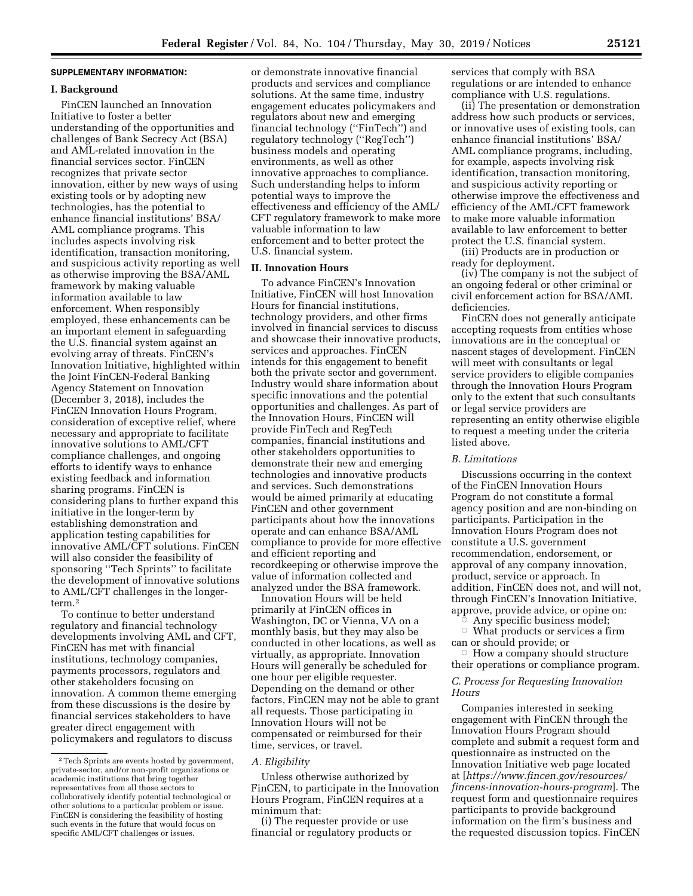# **SUPPLEMENTARY INFORMATION:**

## **I. Background**

FinCEN launched an Innovation Initiative to foster a better understanding of the opportunities and challenges of Bank Secrecy Act (BSA) and AML-related innovation in the financial services sector. FinCEN recognizes that private sector innovation, either by new ways of using existing tools or by adopting new technologies, has the potential to enhance financial institutions' BSA/ AML compliance programs. This includes aspects involving risk identification, transaction monitoring, and suspicious activity reporting as well as otherwise improving the BSA/AML framework by making valuable information available to law enforcement. When responsibly employed, these enhancements can be an important element in safeguarding the U.S. financial system against an evolving array of threats. FinCEN's Innovation Initiative, highlighted within the Joint FinCEN-Federal Banking Agency Statement on Innovation (December 3, 2018), includes the FinCEN Innovation Hours Program, consideration of exceptive relief, where necessary and appropriate to facilitate innovative solutions to AML/CFT compliance challenges, and ongoing efforts to identify ways to enhance existing feedback and information sharing programs. FinCEN is considering plans to further expand this initiative in the longer-term by establishing demonstration and application testing capabilities for innovative AML/CFT solutions. FinCEN will also consider the feasibility of sponsoring ''Tech Sprints'' to facilitate the development of innovative solutions to AML/CFT challenges in the longerterm.2

To continue to better understand regulatory and financial technology developments involving AML and CFT, FinCEN has met with financial institutions, technology companies, payments processors, regulators and other stakeholders focusing on innovation. A common theme emerging from these discussions is the desire by financial services stakeholders to have greater direct engagement with policymakers and regulators to discuss

or demonstrate innovative financial products and services and compliance solutions. At the same time, industry engagement educates policymakers and regulators about new and emerging financial technology (''FinTech'') and regulatory technology (''RegTech'') business models and operating environments, as well as other innovative approaches to compliance. Such understanding helps to inform potential ways to improve the effectiveness and efficiency of the AML/ CFT regulatory framework to make more valuable information to law enforcement and to better protect the U.S. financial system.

# **II. Innovation Hours**

To advance FinCEN's Innovation Initiative, FinCEN will host Innovation Hours for financial institutions, technology providers, and other firms involved in financial services to discuss and showcase their innovative products, services and approaches. FinCEN intends for this engagement to benefit both the private sector and government. Industry would share information about specific innovations and the potential opportunities and challenges. As part of the Innovation Hours, FinCEN will provide FinTech and RegTech companies, financial institutions and other stakeholders opportunities to demonstrate their new and emerging technologies and innovative products and services. Such demonstrations would be aimed primarily at educating FinCEN and other government participants about how the innovations operate and can enhance BSA/AML compliance to provide for more effective and efficient reporting and recordkeeping or otherwise improve the value of information collected and analyzed under the BSA framework.

Innovation Hours will be held primarily at FinCEN offices in Washington, DC or Vienna, VA on a monthly basis, but they may also be conducted in other locations, as well as virtually, as appropriate. Innovation Hours will generally be scheduled for one hour per eligible requester. Depending on the demand or other factors, FinCEN may not be able to grant all requests. Those participating in Innovation Hours will not be compensated or reimbursed for their time, services, or travel.

#### *A. Eligibility*

Unless otherwise authorized by FinCEN, to participate in the Innovation Hours Program, FinCEN requires at a minimum that:

(i) The requester provide or use financial or regulatory products or services that comply with BSA regulations or are intended to enhance compliance with U.S. regulations.

(ii) The presentation or demonstration address how such products or services, or innovative uses of existing tools, can enhance financial institutions' BSA/ AML compliance programs, including, for example, aspects involving risk identification, transaction monitoring, and suspicious activity reporting or otherwise improve the effectiveness and efficiency of the AML/CFT framework to make more valuable information available to law enforcement to better protect the U.S. financial system.

(iii) Products are in production or ready for deployment.

(iv) The company is not the subject of an ongoing federal or other criminal or civil enforcement action for BSA/AML deficiencies.

FinCEN does not generally anticipate accepting requests from entities whose innovations are in the conceptual or nascent stages of development. FinCEN will meet with consultants or legal service providers to eligible companies through the Innovation Hours Program only to the extent that such consultants or legal service providers are representing an entity otherwise eligible to request a meeting under the criteria listed above.

### *B. Limitations*

Discussions occurring in the context of the FinCEN Innovation Hours Program do not constitute a formal agency position and are non-binding on participants. Participation in the Innovation Hours Program does not constitute a U.S. government recommendation, endorsement, or approval of any company innovation, product, service or approach. In addition, FinCEN does not, and will not, through FinCEN's Innovation Initiative, approve, provide advice, or opine on: Æ

Any specific business model;

 $\circ$  What products or services a firm can or should provide; or

 $\circ$  How a company should structure their operations or compliance program.

# *C. Process for Requesting Innovation Hours*

Companies interested in seeking engagement with FinCEN through the Innovation Hours Program should complete and submit a request form and questionnaire as instructed on the Innovation Initiative web page located at [*[https://www.fincen.gov/resources/](https://www.fincen.gov/resources/fincens-innovation-hours-program)  [fincens-innovation-hours-program](https://www.fincen.gov/resources/fincens-innovation-hours-program)*]. The request form and questionnaire requires participants to provide background information on the firm's business and the requested discussion topics. FinCEN

<sup>2</sup>Tech Sprints are events hosted by government, private-sector, and/or non-profit organizations or academic institutions that bring together representatives from all those sectors to collaboratively identify potential technological or other solutions to a particular problem or issue. FinCEN is considering the feasibility of hosting such events in the future that would focus on specific AML/CFT challenges or issues.